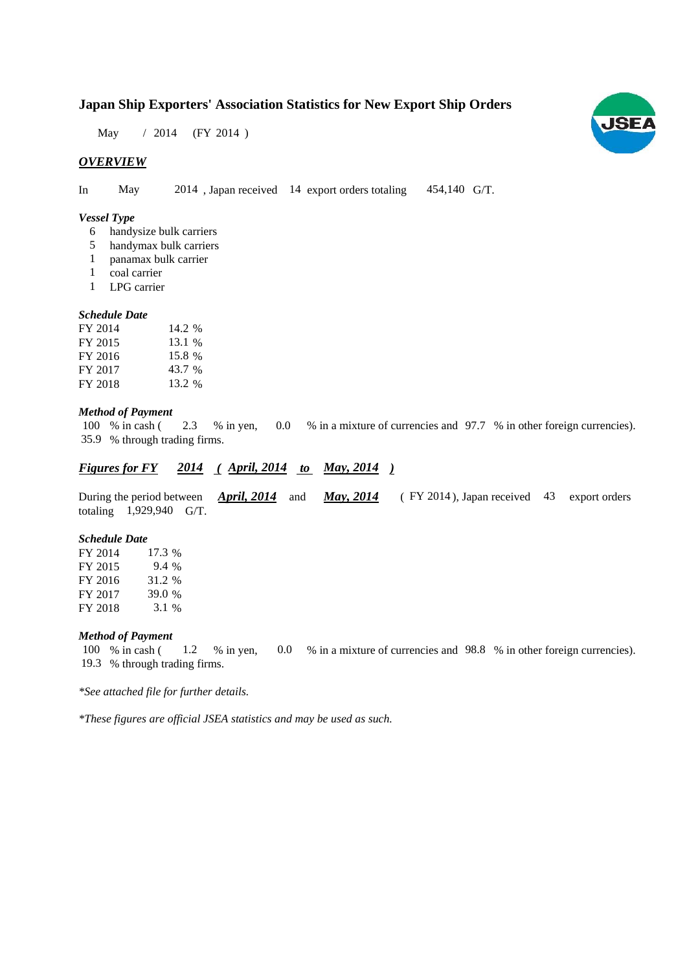# **Japan Ship Exporters' Association Statistics for New Export Ship Orders**

May / 2014 (FY 2014)

## *OVERVIEW*

In May 2014, Japan received 14 export orders totaling 454,140 G/T.

### *Vessel Type*

- handysize bulk carriers 6
- handymax bulk carriers 5
- panamax bulk carrier 1
- coal carrier 1
- LPG carrier 1

#### *Schedule Date*

| FY 2014 | 14.2 % |
|---------|--------|
| FY 2015 | 13.1 % |
| FY 2016 | 15.8 % |
| FY 2017 | 43.7 % |
| FY 2018 | 13.2 % |

#### *Method of Payment*

% in cash ( $2.3$  % in yen,  $0.0$  % in a mixture of currencies and 97.7 % in other foreign currencies). % through trading firms. 35.9 2.3 % in yen, 100 % in cash (

## *Figures for FY* 2014 (*April, 2014 to May, 2014* )

During the period between *April, 2014* and *May, 2014* (FY 2014), Japan received 43 export orders totaling 1,929,940 G/T.

#### *Schedule Date*

FY 2014 FY 2015 FY 2016 FY 2017 FY 2018 31.2 17.3 9.4 % 39.0 3.1

## *Method of Payment*

% in cash ( 1.2 % in yen, 0.0 % in a mixture of currencies and 98.8 % in other foreign currencies). % through trading firms. 19.3 100 % in cash (

*\*See attached file for further details.*

*\*These figures are official JSEA statistics and may be used as such.*

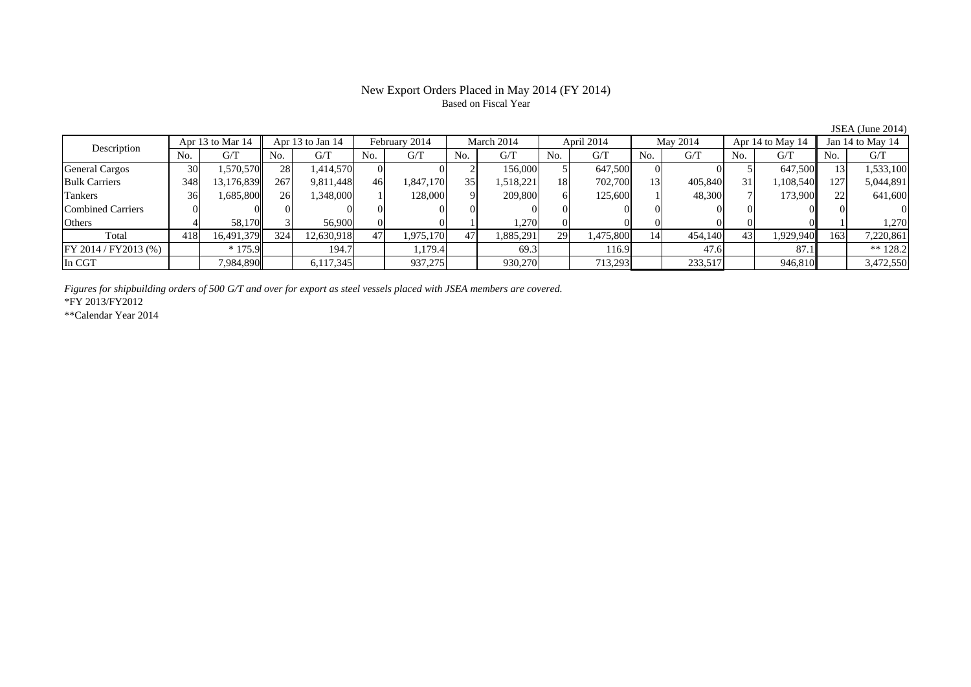## New Export Orders Placed in May 2014 (FY 2014) Based on Fiscal Year

| Description              |                 | Apr 13 to Mar 14 |     | Apr 13 to Jan 14 |     | February 2014 |                 | March 2014 |                | April 2014 |     | May 2014 |     | Apr 14 to May 14 |     | Jan 14 to May 14 |
|--------------------------|-----------------|------------------|-----|------------------|-----|---------------|-----------------|------------|----------------|------------|-----|----------|-----|------------------|-----|------------------|
|                          | No.             | G/T              | No. | G/T              | No. | G/T           | No.             | G/T        | N <sub>o</sub> | G/T        | No. | G/T      | No. | G/T              | No. | G/T              |
| <b>General Cargos</b>    | 30 <sup>l</sup> | .570,570         | 28  | 1,414,570        |     |               |                 | 156,000    |                | 647,500    |     |          |     | 647,500          |     | 1,533,100        |
| <b>Bulk Carriers</b>     | 348             | 13,176,839       | 267 | 9,811,448        | 46  | 1,847,170     | 35 <sup>1</sup> | 1,518,221  | 18             | 702,700    | 13  | 405,840  | 31  | 1,108,540        | 127 | 5,044,891        |
| Tankers                  | 36              | 1,685,800        | 26  | 1,348,000        |     | 128,000       | $\Omega$        | 209,800    |                | 125,600    |     | 48,300   |     | 173,900          |     | 641,600          |
| <b>Combined Carriers</b> |                 |                  |     |                  |     |               |                 |            |                |            |     |          |     |                  |     |                  |
| Others                   |                 | 58.170           |     | 56,900           |     |               |                 | .270       |                |            |     |          |     |                  |     | 1,270            |
| Total                    | 418             | 16,491,379       | 324 | 12,630,918       | 47  | 1.975.170     | 47'             | 1,885,291  | 29             | 1,475,800  | 14  | 454,140  | 43  | 1,929,940        | 163 | 7,220,861        |
| $FY 2014 / FY 2013$ (%)  |                 | $*175.9$         |     | 194.7            |     | 1,179.4       |                 | 69.3       |                | 116.9      |     | 47.6     |     | 87.1             |     | ** $128.2$       |
| In CGT                   |                 | 7,984,890        |     | 6,117,345        |     | 937,275       |                 | 930,270    |                | 713,293    |     | 233,517  |     | 946,810          |     | 3,472,550        |

*Figures for shipbuilding orders of 500 G/T and over for export as steel vessels placed with JSEA members are covered.*

\*FY 2013/FY2012

\*\*Calendar Year 2014

JSEA (June 2014)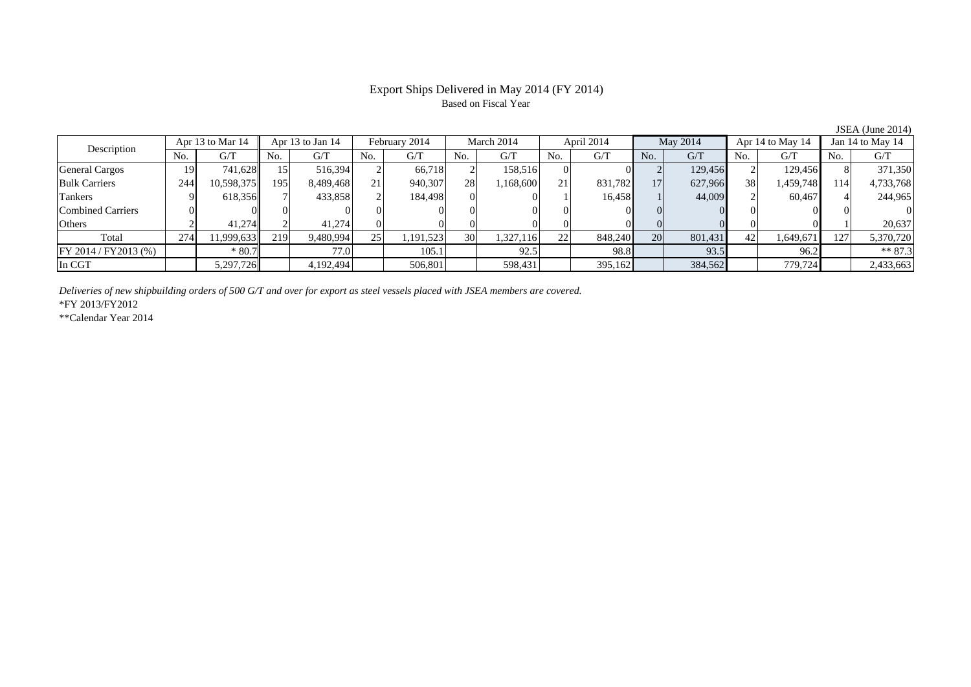# Export Ships Delivered in May 2014 (FY 2014) Based on Fiscal Year

| Description              |     | Apr 13 to Mar 14 | Apr 13 to Jan 14 |           | February 2014   |           | March 2014 |           | April 2014 |         | May 2014  |         | Apr 14 to May 14 |           | Jan 14 to May 14 |           |
|--------------------------|-----|------------------|------------------|-----------|-----------------|-----------|------------|-----------|------------|---------|-----------|---------|------------------|-----------|------------------|-----------|
|                          | No. | G/T              | No.              | G/T       | No.             | G/T       | No.        | G/T       | No.        | G/T     | No.       | G/T     | No.              | G/T       | No.              | G/T       |
| <b>General Cargos</b>    | 19  | 741.628          |                  | 516.394   |                 | 66.718    |            | 158.516   |            |         |           | 129,456 |                  | 129.456   |                  | 371,350   |
| <b>Bulk Carriers</b>     | 244 | 10,598,375       | 195              | 8,489,468 | 21              | 940,307   | 28         | 1,168,600 | 21         | 831,782 | 17        | 627,966 | 38               | 1,459,748 | 114              | 4,733,768 |
| <b>Tankers</b>           |     | 618,356          |                  | 433,858   |                 | 184,498   |            |           |            | 16,458  |           | 44,009  |                  | 60.4671   |                  | 244,965   |
| <b>Combined Carriers</b> |     |                  |                  |           |                 |           |            |           |            |         |           |         |                  |           |                  |           |
| Others                   |     | 41.274           |                  | 41.274    |                 |           |            |           |            |         |           |         |                  |           |                  | 20,637    |
| Total                    | 274 | 11,999,633       | 219              | 9,480,994 | 25 <sub>1</sub> | 1,191,523 | 30         | 1,327,116 | 22         | 848,240 | <b>20</b> | 801,431 | 42               | 1,649,671 | 127              | 5,370,720 |
| $FY 2014 / FY 2013$ (%)  |     | $*80.7$          |                  | 77.0      |                 | 105.1     |            | 92.5      |            | 98.8    |           | 93.5    |                  | 96.2      |                  | $** 87.3$ |
| In CGT                   |     | 5,297,726        |                  | 4,192,494 |                 | 506,801   |            | 598,431   |            | 395,162 |           | 384,562 |                  | 779,724   |                  | 2,433,663 |

*Deliveries of new shipbuilding orders of 500 G/T and over for export as steel vessels placed with JSEA members are covered.*

\*FY 2013/FY2012

\*\*Calendar Year 2014

JSEA (June 2014)